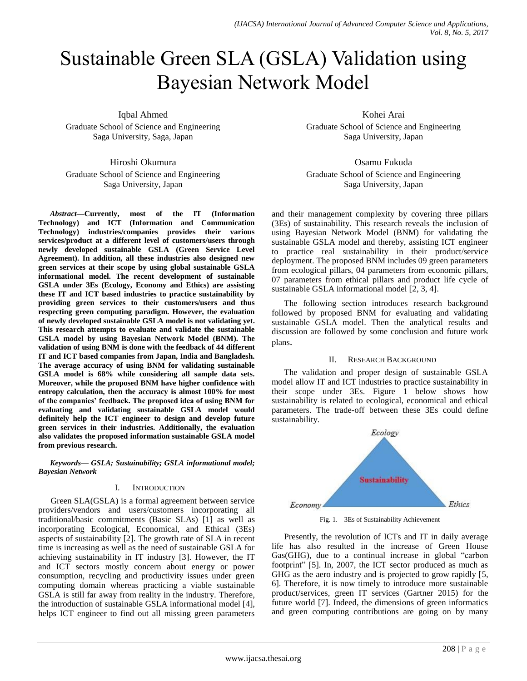# Sustainable Green SLA (GSLA) Validation using Bayesian Network Model

Iqbal Ahmed

Graduate School of Science and Engineering Saga University, Saga, Japan

Hiroshi Okumura Graduate School of Science and Engineering Saga University, Japan

*Abstract***—Currently, most of the IT (Information Technology) and ICT (Information and Communication Technology) industries/companies provides their various services/product at a different level of customers/users through newly developed sustainable GSLA (Green Service Level Agreement). In addition, all these industries also designed new green services at their scope by using global sustainable GSLA informational model. The recent development of sustainable GSLA under 3Es (Ecology, Economy and Ethics) are assisting these IT and ICT based industries to practice sustainability by providing green services to their customers/users and thus respecting green computing paradigm. However, the evaluation of newly developed sustainable GSLA model is not validating yet. This research attempts to evaluate and validate the sustainable GSLA model by using Bayesian Network Model (BNM). The validation of using BNM is done with the feedback of 44 different IT and ICT based companies from Japan, India and Bangladesh. The average accuracy of using BNM for validating sustainable GSLA model is 68% while considering all sample data sets. Moreover, while the proposed BNM have higher confidence with entropy calculation, then the accuracy is almost 100% for most of the companies' feedback. The proposed idea of using BNM for evaluating and validating sustainable GSLA model would definitely help the ICT engineer to design and develop future green services in their industries. Additionally, the evaluation also validates the proposed information sustainable GSLA model from previous research.**

*Keywords— GSLA; Sustainability; GSLA informational model; Bayesian Network*

# I. INTRODUCTION

Green SLA(GSLA) is a formal agreement between service providers/vendors and users/customers incorporating all traditional/basic commitments (Basic SLAs) [1] as well as incorporating Ecological, Economical, and Ethical (3Es) aspects of sustainability [2]. The growth rate of SLA in recent time is increasing as well as the need of sustainable GSLA for achieving sustainability in IT industry [3]. However, the IT and ICT sectors mostly concern about energy or power consumption, recycling and productivity issues under green computing domain whereas practicing a viable sustainable GSLA is still far away from reality in the industry. Therefore, the introduction of sustainable GSLA informational model [4], helps ICT engineer to find out all missing green parameters

Kohei Arai Graduate School of Science and Engineering Saga University, Japan

Osamu Fukuda Graduate School of Science and Engineering Saga University, Japan

and their management complexity by covering three pillars (3Es) of sustainability. This research reveals the inclusion of using Bayesian Network Model (BNM) for validating the sustainable GSLA model and thereby, assisting ICT engineer to practice real sustainability in their product/service deployment. The proposed BNM includes 09 green parameters from ecological pillars, 04 parameters from economic pillars, 07 parameters from ethical pillars and product life cycle of sustainable GSLA informational model [2, 3, 4].

The following section introduces research background followed by proposed BNM for evaluating and validating sustainable GSLA model. Then the analytical results and discussion are followed by some conclusion and future work plans.

# II. RESEARCH BACKGROUND

The validation and proper design of sustainable GSLA model allow IT and ICT industries to practice sustainability in their scope under 3Es. Figure 1 below shows how sustainability is related to ecological, economical and ethical parameters. The trade-off between these 3Es could define sustainability.



Fig. 1. 3Es of Sustainability Achievement

Presently, the revolution of ICTs and IT in daily average life has also resulted in the increase of Green House Gas(GHG), due to a continual increase in global "carbon footprint" [5]. In, 2007, the ICT sector produced as much as GHG as the aero industry and is projected to grow rapidly [5, 6]. Therefore, it is now timely to introduce more sustainable product/services, green IT services (Gartner 2015) for the future world [7]. Indeed, the dimensions of green informatics and green computing contributions are going on by many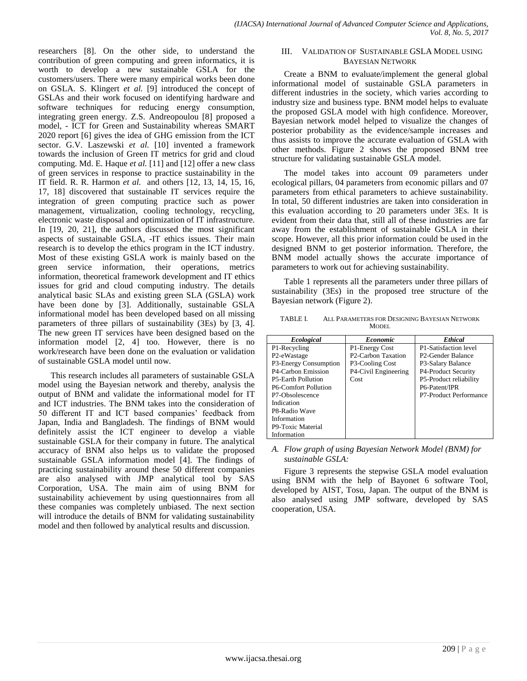researchers [8]. On the other side, to understand the contribution of green computing and green informatics, it is worth to develop a new sustainable GSLA for the customers/users. There were many empirical works been done on GSLA. S. Klingert *et al.* [9] introduced the concept of GSLAs and their work focused on identifying hardware and software techniques for reducing energy consumption, integrating green energy. Z.S. Andreopoulou [8] proposed a model, - ICT for Green and Sustainability whereas SMART 2020 report [6] gives the idea of GHG emission from the ICT sector. G.V. Laszewski *et al.* [10] invented a framework towards the inclusion of Green IT metrics for grid and cloud computing. Md. E. Haque *et al.* [11] and [12] offer a new class of green services in response to practice sustainability in the IT field. R. R. Harmon *et al.* and others [12, 13, 14, 15, 16, 17, 18] discovered that sustainable IT services require the integration of green computing practice such as power management, virtualization, cooling technology, recycling, electronic waste disposal and optimization of IT infrastructure. In [19, 20, 21], the authors discussed the most significant aspects of sustainable GSLA, -IT ethics issues. Their main research is to develop the ethics program in the ICT industry. Most of these existing GSLA work is mainly based on the green service information, their operations, metrics information, theoretical framework development and IT ethics issues for grid and cloud computing industry. The details analytical basic SLAs and existing green SLA (GSLA) work have been done by [3]. Additionally, sustainable GSLA informational model has been developed based on all missing parameters of three pillars of sustainability (3Es) by [3, 4]. The new green IT services have been designed based on the information model [2, 4] too. However, there is no work/research have been done on the evaluation or validation of sustainable GSLA model until now.

This research includes all parameters of sustainable GSLA model using the Bayesian network and thereby, analysis the output of BNM and validate the informational model for IT and ICT industries. The BNM takes into the consideration of 50 different IT and ICT based companies' feedback from Japan, India and Bangladesh. The findings of BNM would definitely assist the ICT engineer to develop a viable sustainable GSLA for their company in future. The analytical accuracy of BNM also helps us to validate the proposed sustainable GSLA information model [4]. The findings of practicing sustainability around these 50 different companies are also analysed with JMP analytical tool by SAS Corporation, USA. The main aim of using BNM for sustainability achievement by using questionnaires from all these companies was completely unbiased. The next section will introduce the details of BNM for validating sustainability model and then followed by analytical results and discussion.

# III. VALIDATION OF SUSTAINABLE GSLA MODEL USING BAYESIAN NETWORK

Create a BNM to evaluate/implement the general global informational model of sustainable GSLA parameters in different industries in the society, which varies according to industry size and business type. BNM model helps to evaluate the proposed GSLA model with high confidence. Moreover, Bayesian network model helped to visualize the changes of posterior probability as the evidence/sample increases and thus assists to improve the accurate evaluation of GSLA with other methods. Figure 2 shows the proposed BNM tree structure for validating sustainable GSLA model.

The model takes into account 09 parameters under ecological pillars, 04 parameters from economic pillars and 07 parameters from ethical parameters to achieve sustainability. In total, 50 different industries are taken into consideration in this evaluation according to 20 parameters under 3Es. It is evident from their data that, still all of these industries are far away from the establishment of sustainable GSLA in their scope. However, all this prior information could be used in the designed BNM to get posterior information. Therefore, the BNM model actually shows the accurate importance of parameters to work out for achieving sustainability.

Table 1 represents all the parameters under three pillars of sustainability (3Es) in the proposed tree structure of the Bayesian network (Figure 2).

TABLE I. ALL PARAMETERS FOR DESIGNING BAYESIAN NETWORK MODEL

| <b>Ecological</b>         | <b>Economic</b>                 | <b>Ethical</b>                 |
|---------------------------|---------------------------------|--------------------------------|
| P1-Recycling              | P1-Energy Cost                  | P1-Satisfaction level          |
| P <sub>2</sub> -eWastage  | P <sub>2</sub> -Carbon Taxation | P <sub>2</sub> -Gender Balance |
| P3-Energy Consumption     | P3-Cooling Cost                 | P3-Salary Balance              |
| P4-Carbon Emission        | P4-Civil Engineering            | P4-Product Security            |
| <b>P5-Earth Pollution</b> | Cost                            | P5-Product reliability         |
| P6-Comfort Pollution      |                                 | P6-Patent/IPR                  |
| P7-Obsolescence           |                                 | P7-Product Performance         |
| Indication                |                                 |                                |
| P8-Radio Wave             |                                 |                                |
| Information               |                                 |                                |
| P9-Toxic Material         |                                 |                                |
| Information               |                                 |                                |

# *A. Flow graph of using Bayesian Network Model (BNM) for sustainable GSLA:*

Figure 3 represents the stepwise GSLA model evaluation using BNM with the help of Bayonet 6 software Tool, developed by AIST, Tosu, Japan. The output of the BNM is also analysed using JMP software, developed by SAS cooperation, USA.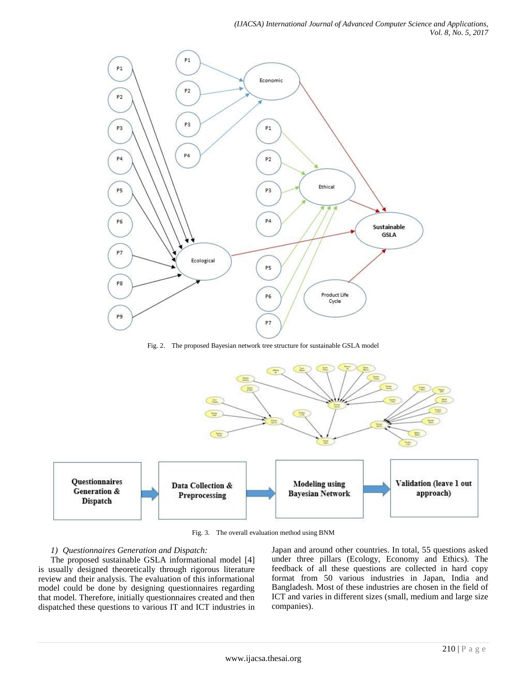

Fig. 2. The proposed Bayesian network tree structure for sustainable GSLA model



Fig. 3. The overall evaluation method using BNM

# *1) Questionnaires Generation and Dispatch:*

The proposed sustainable GSLA informational model [4] is usually designed theoretically through rigorous literature review and their analysis. The evaluation of this informational model could be done by designing questionnaires regarding that model. Therefore, initially questionnaires created and then dispatched these questions to various IT and ICT industries in Japan and around other countries. In total, 55 questions asked under three pillars (Ecology, Economy and Ethics). The feedback of all these questions are collected in hard copy format from 50 various industries in Japan, India and Bangladesh. Most of these industries are chosen in the field of ICT and varies in different sizes (small, medium and large size companies).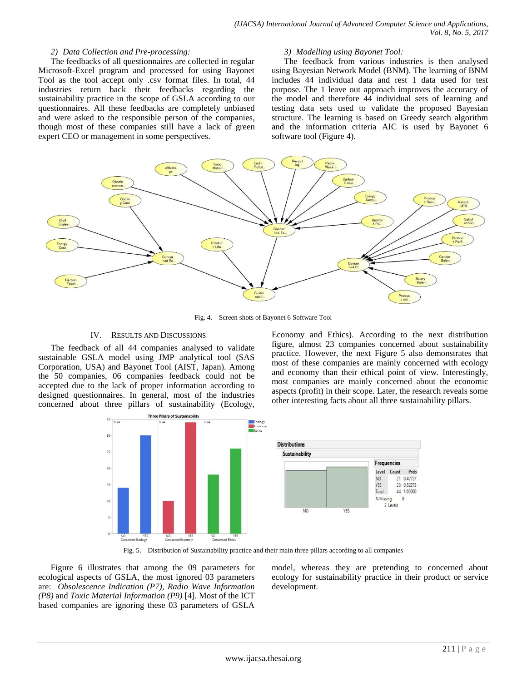### *2) Data Collection and Pre-processing:*

The feedbacks of all questionnaires are collected in regular Microsoft-Excel program and processed for using Bayonet Tool as the tool accept only .csv format files. In total, 44 industries return back their feedbacks regarding the sustainability practice in the scope of GSLA according to our questionnaires. All these feedbacks are completely unbiased and were asked to the responsible person of the companies, though most of these companies still have a lack of green expert CEO or management in some perspectives.

#### *3) Modelling using Bayonet Tool:*

The feedback from various industries is then analysed using Bayesian Network Model (BNM). The learning of BNM includes 44 individual data and rest 1 data used for test purpose. The 1 leave out approach improves the accuracy of the model and therefore 44 individual sets of learning and testing data sets used to validate the proposed Bayesian structure. The learning is based on Greedy search algorithm and the information criteria AIC is used by Bayonet 6 software tool (Figure 4).



Fig. 4. Screen shots of Bayonet 6 Software Tool

#### IV. RESULTS AND DISCUSSIONS

The feedback of all 44 companies analysed to validate sustainable GSLA model using JMP analytical tool (SAS Corporation, USA) and Bayonet Tool (AIST, Japan). Among the 50 companies, 06 companies feedback could not be accepted due to the lack of proper information according to designed questionnaires. In general, most of the industries concerned about three pillars of sustainability (Ecology,

Economy and Ethics). According to the next distribution figure, almost 23 companies concerned about sustainability practice. However, the next Figure 5 also demonstrates that most of these companies are mainly concerned with ecology and economy than their ethical point of view. Interestingly, most companies are mainly concerned about the economic aspects (profit) in their scope. Later, the research reveals some other interesting facts about all three sustainability pillars.



Fig. 5. Distribution of Sustainability practice and their main three pillars according to all companies

Figure 6 illustrates that among the 09 parameters for ecological aspects of GSLA, the most ignored 03 parameters are: *Obsolescence Indication (P7), Radio Wave Information (P8)* and *Toxic Material Information (P9)* [4]. Most of the ICT based companies are ignoring these 03 parameters of GSLA

model, whereas they are pretending to concerned about ecology for sustainability practice in their product or service development.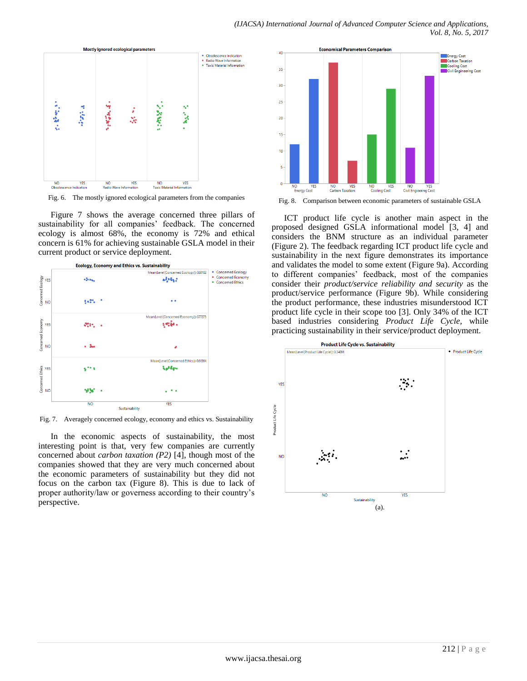

Fig. 6. The mostly ignored ecological parameters from the companies

Figure 7 shows the average concerned three pillars of sustainability for all companies' feedback. The concerned ecology is almost 68%, the economy is 72% and ethical concern is 61% for achieving sustainable GSLA model in their current product or service deployment.



Fig. 7. Averagely concerned ecology, economy and ethics vs. Sustainability

In the economic aspects of sustainability, the most interesting point is that, very few companies are currently concerned about *carbon taxation (P2)* [4], though most of the companies showed that they are very much concerned about the economic parameters of sustainability but they did not focus on the carbon tax (Figure 8). This is due to lack of proper authority/law or governess according to their country's perspective.



Fig. 8. Comparison between economic parameters of sustainable GSLA

ICT product life cycle is another main aspect in the proposed designed GSLA informational model [3, 4] and considers the BNM structure as an individual parameter (Figure 2). The feedback regarding ICT product life cycle and sustainability in the next figure demonstrates its importance and validates the model to some extent (Figure 9a). According to different companies' feedback, most of the companies consider their *product/service reliability and security* as the product/service performance (Figure 9b). While considering the product performance, these industries misunderstood ICT product life cycle in their scope too [3]. Only 34% of the ICT based industries considering *Product Life Cycle*, while practicing sustainability in their service/product deployment.

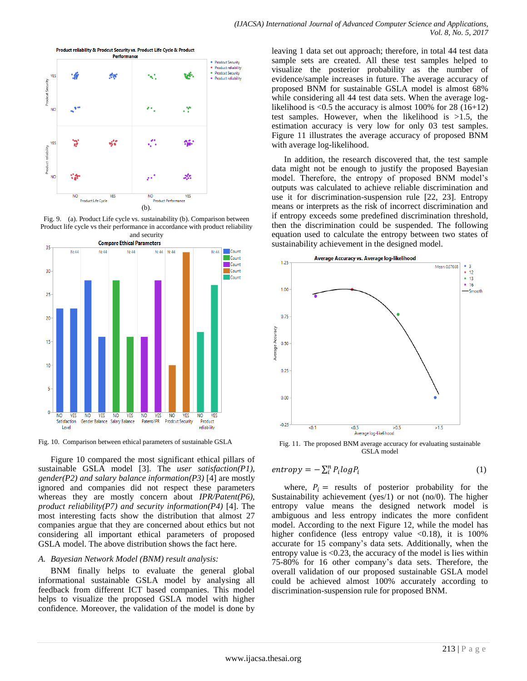

Fig. 9. (a). Product Life cycle vs. sustainability (b). Comparison between Product life cycle vs their performance in accordance with product reliability



Fig. 10. Comparison between ethical parameters of sustainable GSLA

Figure 10 compared the most significant ethical pillars of sustainable GSLA model [3]. The *user satisfaction(P1), gender(P2) and salary balance information(P3)* [4] are mostly ignored and companies did not respect these parameters whereas they are mostly concern about *IPR/Patent(P6), product reliability(P7) and security information(P4)* [4]. The most interesting facts show the distribution that almost 27 companies argue that they are concerned about ethics but not considering all important ethical parameters of proposed GSLA model. The above distribution shows the fact here.

# *A. Bayesian Network Model (BNM) result analysis:*

BNM finally helps to evaluate the general global informational sustainable GSLA model by analysing all feedback from different ICT based companies. This model helps to visualize the proposed GSLA model with higher confidence. Moreover, the validation of the model is done by

leaving 1 data set out approach; therefore, in total 44 test data sample sets are created. All these test samples helped to visualize the posterior probability as the number of evidence/sample increases in future. The average accuracy of proposed BNM for sustainable GSLA model is almost 68% while considering all 44 test data sets. When the average loglikelihood is  $\leq 0.5$  the accuracy is almost 100% for 28 (16+12) test samples. However, when the likelihood is >1.5, the estimation accuracy is very low for only 03 test samples. Figure 11 illustrates the average accuracy of proposed BNM with average log-likelihood.

In addition, the research discovered that, the test sample data might not be enough to justify the proposed Bayesian model. Therefore, the entropy of proposed BNM model's outputs was calculated to achieve reliable discrimination and use it for discrimination-suspension rule [22, 23]. Entropy means or interprets as the risk of incorrect discrimination and if entropy exceeds some predefined discrimination threshold, then the discrimination could be suspended. The following equation used to calculate the entropy between two states of sustainability achievement in the designed model.



Fig. 11. The proposed BNM average accuracy for evaluating sustainable GSLA model

$$
entropy = -\sum_{i}^{n} P_{i} log P_{i}
$$
 (1)

where,  $P_i$  = results of posterior probability for the Sustainability achievement (yes/1) or not (no/0). The higher entropy value means the designed network model is ambiguous and less entropy indicates the more confident model. According to the next Figure 12, while the model has higher confidence (less entropy value  $\langle 0.18 \rangle$ , it is 100% accurate for 15 company's data sets. Additionally, when the entropy value is <0.23, the accuracy of the model is lies within 75-80% for 16 other company's data sets. Therefore, the overall validation of our proposed sustainable GSLA model could be achieved almost 100% accurately according to discrimination-suspension rule for proposed BNM.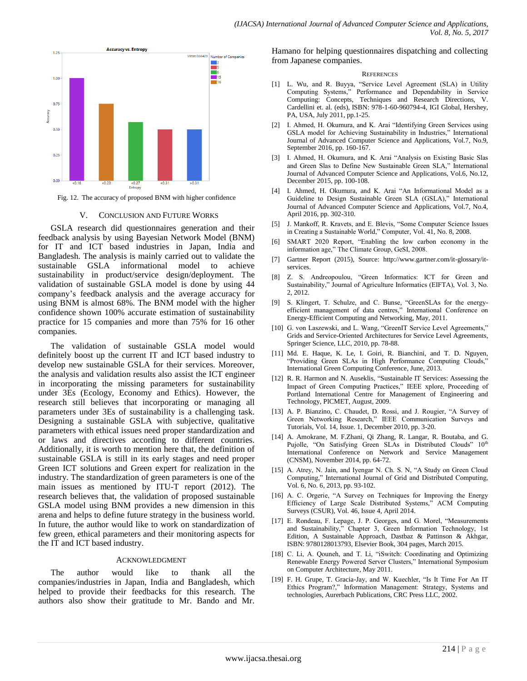

Fig. 12. The accuracy of proposed BNM with higher confidence

#### V. CONCLUSION AND FUTURE WORKS

GSLA research did questionnaires generation and their feedback analysis by using Bayesian Network Model (BNM) for IT and ICT based industries in Japan, India and Bangladesh. The analysis is mainly carried out to validate the sustainable GSLA informational model to achieve sustainability in product/service design/deployment. The validation of sustainable GSLA model is done by using 44 company's feedback analysis and the average accuracy for using BNM is almost 68%. The BNM model with the higher confidence shown 100% accurate estimation of sustainability practice for 15 companies and more than 75% for 16 other companies.

The validation of sustainable GSLA model would definitely boost up the current IT and ICT based industry to develop new sustainable GSLA for their services. Moreover, the analysis and validation results also assist the ICT engineer in incorporating the missing parameters for sustainability under 3Es (Ecology, Economy and Ethics). However, the research still believes that incorporating or managing all parameters under 3Es of sustainability is a challenging task. Designing a sustainable GSLA with subjective, qualitative parameters with ethical issues need proper standardization and or laws and directives according to different countries. Additionally, it is worth to mention here that, the definition of sustainable GSLA is still in its early stages and need proper Green ICT solutions and Green expert for realization in the industry. The standardization of green parameters is one of the main issues as mentioned by ITU-T report (2012). The research believes that, the validation of proposed sustainable GSLA model using BNM provides a new dimension in this arena and helps to define future strategy in the business world. In future, the author would like to work on standardization of few green, ethical parameters and their monitoring aspects for the IT and ICT based industry.

#### ACKNOWLEDGMENT

The author would like to thank all the companies/industries in Japan, India and Bangladesh, which helped to provide their feedbacks for this research. The authors also show their gratitude to Mr. Bando and Mr.

Hamano for helping questionnaires dispatching and collecting from Japanese companies.

#### **REFERENCES**

- [1] L. Wu, and R. Buyya, "Service Level Agreement (SLA) in Utility Computing Systems," Performance and Dependability in Service Computing: Concepts, Techniques and Research Directions, V. Cardellini et. al. (eds), ISBN: 978-1-60-960794-4, IGI Global, Hershey, PA, USA, July 2011, pp.1-25.
- I. Ahmed, H. Okumura, and K. Arai "Identifying Green Services using GSLA model for Achieving Sustainability in Industries," International Journal of Advanced Computer Science and Applications, Vol.7, No.9, September 2016, pp. 160-167.
- [3] I. Ahmed, H. Okumura, and K. Arai "Analysis on Existing Basic Slas and Green Slas to Define New Sustainable Green SLA," International Journal of Advanced Computer Science and Applications, Vol.6, No.12, December 2015, pp. 100-108.
- [4] I. Ahmed, H. Okumura, and K. Arai "An Informational Model as a Guideline to Design Sustainable Green SLA (GSLA)," International Journal of Advanced Computer Science and Applications, Vol.7, No.4, April 2016, pp. 302-310.
- [5] J. Mankoff, R. Kravets, and E. Blevis, "Some Computer Science Issues in Creating a Sustainable World," Computer*,* Vol. 41, No. 8, 2008.
- [6] SMART 2020 Report, "Enabling the low carbon economy in the information age," The Climate Group, GeSI, 2008.
- [7] Gartner Report (2015), Source: http://www.gartner.com/it-glossary/itservices.
- [8] Z. S. Andreopoulou, "Green Informatics: ICT for Green and Sustainability," Journal of Agriculture Informatics (EIFTA), Vol. 3, No. 2, 2012.
- [9] S. Klingert, T. Schulze, and C. Bunse, "GreenSLAs for the energyefficient management of data centres," International Conference on Energy-Efficient Computing and Networking, May, 2011.
- [10] G. von Laszewski, and L. Wang, "GreenIT Service Level Agreements," Grids and Service-Oriented Architectures for Service Level Agreements, Springer Science, LLC, 2010, pp. 78-88.
- [11] Md. E. Haque, K. Le, I. Goiri, R. Bianchini, and T. D. Nguyen, "Providing Green SLAs in High Performance Computing Clouds," International Green Computing Conference*,* June, 2013.
- [12] R. R. Harmon and N. Auseklis, "Sustainable IT Services: Assessing the Impact of Green Computing Practices," IEEE xplore, Proceeding of Portland International Centre for Management of Engineering and Technology, PICMET, August, 2009.
- [13] A. P. Bianzino, C. Chaudet, D. Rossi, and J. Rougier, "A Survey of Green Networking Research," IEEE Communication Surveys and Tutorials, Vol. 14, Issue. 1, December 2010, pp. 3-20.
- [14] A. Amokrane, M. F.Zhani, Qi Zhang, R. Langar, R. Boutaba, and G. Pujolle, "On Satisfying Green SLAs in Distributed Clouds" 10th International Conference on Network and Service Management (CNSM), November 2014, pp. 64-72.
- [15] A. Atrey, N. Jain, and Iyengar N. Ch. S. N, "A Study on Green Cloud Computing," International Journal of Grid and Distributed Computing, Vol. 6, No. 6*,* 2013, pp. 93-102.
- [16] A. C. Orgerie, "A Survey on Techniques for Improving the Energy Efficiency of Large Scale Distributed Systems," ACM Computing Surveys (CSUR), Vol. 46, Issue 4*,* April 2014.
- [17] E. Rondeau, F. Lepage, J. P. Georges, and G. Morel, "Measurements and Sustainability," Chapter 3, Green Information Technology, 1st Edition, A Sustainable Approach, Dastbaz & Pattinson & Akhgar, ISBN: 9780128013793, Elsevier Book, 304 pages, March 2015.
- [18] C. Li, A. Qouneh, and T. Li, "iSwitch: Coordinating and Optimizing Renewable Energy Powered Server Clusters," International Symposium on Computer Architecture*,* May 2011.
- [19] F. H. Grupe, T. Gracia-Jay, and W. Kuechler, "Is It Time For An IT Ethics Program?," Information Management: Strategy, Systems and technologies, Aurerbach Publications, CRC Press LLC*,* 2002.